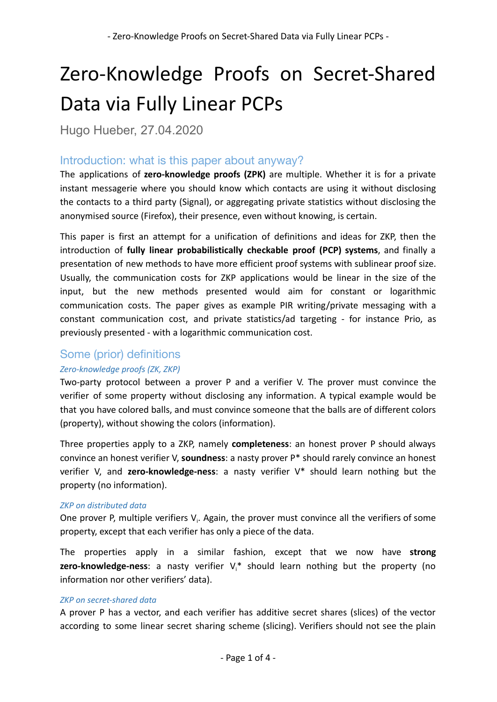# Zero-Knowledge Proofs on Secret-Shared Data via Fully Linear PCPs

Hugo Hueber, 27.04.2020

## Introduction: what is this paper about anyway?

The applications of **zero-knowledge proofs (ZPK)** are multiple. Whether it is for a private instant messagerie where you should know which contacts are using it without disclosing the contacts to a third party (Signal), or aggregating private statistics without disclosing the anonymised source (Firefox), their presence, even without knowing, is certain.

This paper is first an attempt for a unification of definitions and ideas for ZKP, then the introduction of **fully linear probabilistically checkable proof (PCP) systems**, and finally a presentation of new methods to have more efficient proof systems with sublinear proof size. Usually, the communication costs for ZKP applications would be linear in the size of the input, but the new methods presented would aim for constant or logarithmic communication costs. The paper gives as example PIR writing/private messaging with a constant communication cost, and private statistics/ad targeting - for instance Prio, as previously presented - with a logarithmic communication cost.

## Some (prior) definitions

#### *Zero-knowledge proofs (ZK, ZKP)*

Two-party protocol between a prover P and a verifier V. The prover must convince the verifier of some property without disclosing any information. A typical example would be that you have colored balls, and must convince someone that the balls are of different colors (property), without showing the colors (information).

Three properties apply to a ZKP, namely **completeness**: an honest prover P should always convince an honest verifier V, **soundness**: a nasty prover P\* should rarely convince an honest verifier V, and **zero-knowledge-ness**: a nasty verifier V\* should learn nothing but the property (no information).

#### *ZKP on distributed data*

One prover P, multiple verifiers  $V_i$ . Again, the prover must convince all the verifiers of some property, except that each verifier has only a piece of the data.

The properties apply in a similar fashion, except that we now have **strong zero-knowledge-ness**: a nasty verifier V<sub>i</sub><sup>\*</sup> should learn nothing but the property (no information nor other verifiers' data).

#### *ZKP on secret-shared data*

A prover P has a vector, and each verifier has additive secret shares (slices) of the vector according to some linear secret sharing scheme (slicing). Verifiers should not see the plain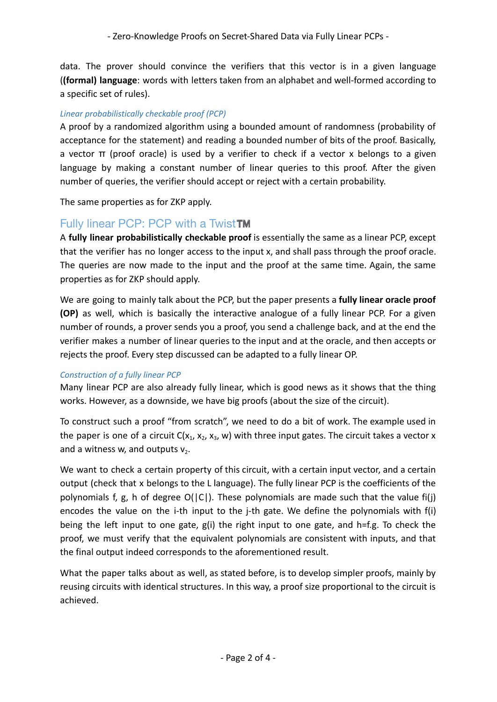- Zero-Knowledge Proofs on Secret-Shared Data via Fully Linear PCPs -

data. The prover should convince the verifiers that this vector is in a given language (**(formal) language**: words with letters taken from an alphabet and well-formed according to a specific set of rules).

## *Linear probabilistically checkable proof (PCP)*

A proof by a randomized algorithm using a bounded amount of randomness (probability of acceptance for the statement) and reading a bounded number of bits of the proof. Basically, a vector π (proof oracle) is used by a verifier to check if a vector x belongs to a given language by making a constant number of linear queries to this proof. After the given number of queries, the verifier should accept or reject with a certain probability.

The same properties as for ZKP apply.

# Fully linear PCP: PCP with a TwistTM

A **fully linear probabilistically checkable proof** is essentially the same as a linear PCP, except that the verifier has no longer access to the input x, and shall pass through the proof oracle. The queries are now made to the input and the proof at the same time. Again, the same properties as for ZKP should apply.

We are going to mainly talk about the PCP, but the paper presents a **fully linear oracle proof (OP)** as well, which is basically the interactive analogue of a fully linear PCP. For a given number of rounds, a prover sends you a proof, you send a challenge back, and at the end the verifier makes a number of linear queries to the input and at the oracle, and then accepts or rejects the proof. Every step discussed can be adapted to a fully linear OP.

#### *Construction of a fully linear PCP*

Many linear PCP are also already fully linear, which is good news as it shows that the thing works. However, as a downside, we have big proofs (about the size of the circuit).

To construct such a proof "from scratch", we need to do a bit of work. The example used in the paper is one of a circuit  $C(x_1, x_2, x_3, w)$  with three input gates. The circuit takes a vector x and a witness w, and outputs  $v<sub>2</sub>$ .

We want to check a certain property of this circuit, with a certain input vector, and a certain output (check that x belongs to the L language). The fully linear PCP is the coefficients of the polynomials f, g, h of degree  $O(|C|)$ . These polynomials are made such that the value fi(j) encodes the value on the i-th input to the j-th gate. We define the polynomials with f(i) being the left input to one gate, g(i) the right input to one gate, and h=f.g. To check the proof, we must verify that the equivalent polynomials are consistent with inputs, and that the final output indeed corresponds to the aforementioned result.

What the paper talks about as well, as stated before, is to develop simpler proofs, mainly by reusing circuits with identical structures. In this way, a proof size proportional to the circuit is achieved.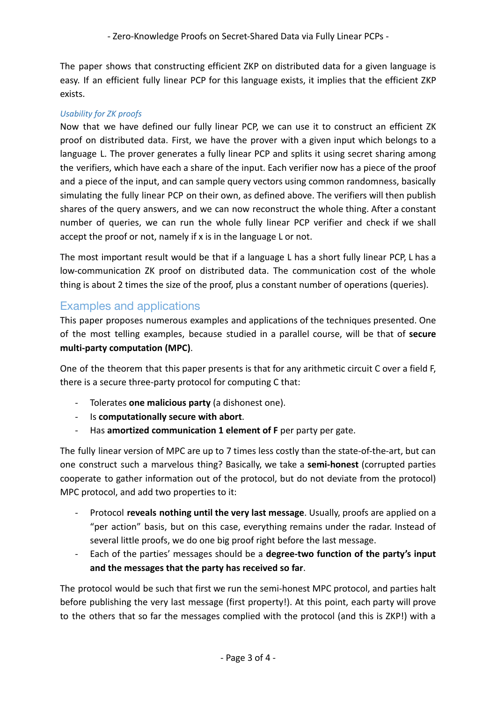- Zero-Knowledge Proofs on Secret-Shared Data via Fully Linear PCPs -

The paper shows that constructing efficient ZKP on distributed data for a given language is easy. If an efficient fully linear PCP for this language exists, it implies that the efficient ZKP exists.

### *Usability for ZK proofs*

Now that we have defined our fully linear PCP, we can use it to construct an efficient ZK proof on distributed data. First, we have the prover with a given input which belongs to a language L. The prover generates a fully linear PCP and splits it using secret sharing among the verifiers, which have each a share of the input. Each verifier now has a piece of the proof and a piece of the input, and can sample query vectors using common randomness, basically simulating the fully linear PCP on their own, as defined above. The verifiers will then publish shares of the query answers, and we can now reconstruct the whole thing. After a constant number of queries, we can run the whole fully linear PCP verifier and check if we shall accept the proof or not, namely if x is in the language L or not.

The most important result would be that if a language L has a short fully linear PCP, L has a low-communication ZK proof on distributed data. The communication cost of the whole thing is about 2 times the size of the proof, plus a constant number of operations (queries).

# Examples and applications

This paper proposes numerous examples and applications of the techniques presented. One of the most telling examples, because studied in a parallel course, will be that of **secure multi-party computation (MPC)**.

One of the theorem that this paper presents is that for any arithmetic circuit C over a field F, there is a secure three-party protocol for computing C that:

- Tolerates **one malicious party** (a dishonest one).
- Is **computationally secure with abort**.
- Has **amortized communication 1 element of F** per party per gate.

The fully linear version of MPC are up to 7 times less costly than the state-of-the-art, but can one construct such a marvelous thing? Basically, we take a **semi-honest** (corrupted parties cooperate to gather information out of the protocol, but do not deviate from the protocol) MPC protocol, and add two properties to it:

- Protocol **reveals nothing until the very last message**. Usually, proofs are applied on a "per action" basis, but on this case, everything remains under the radar. Instead of several little proofs, we do one big proof right before the last message.
- Each of the parties' messages should be a **degree-two function of the party's input and the messages that the party has received so far**.

The protocol would be such that first we run the semi-honest MPC protocol, and parties halt before publishing the very last message (first property!). At this point, each party will prove to the others that so far the messages complied with the protocol (and this is ZKP!) with a